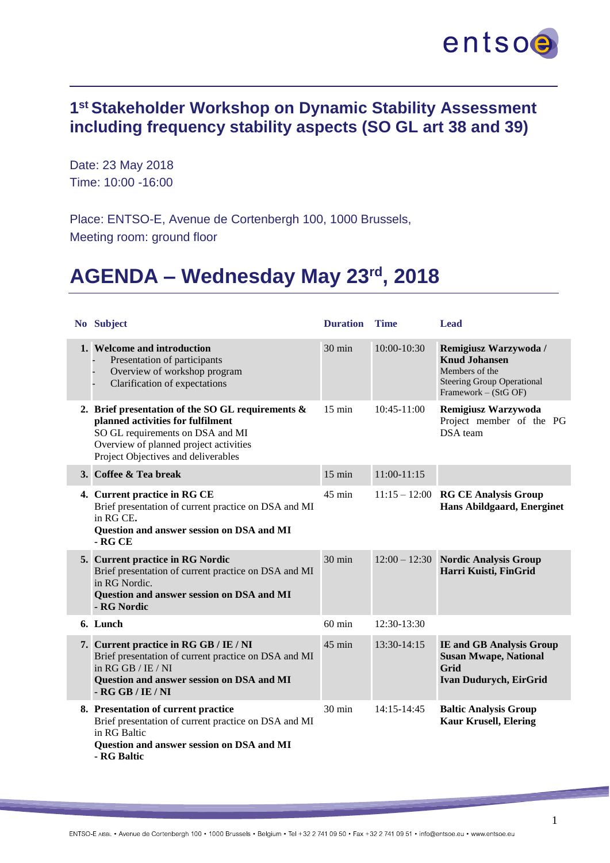

## **1 st Stakeholder Workshop on Dynamic Stability Assessment including frequency stability aspects (SO GL art 38 and 39)**

Date: 23 May 2018 Time: 10:00 -16:00

Place: ENTSO-E, Avenue de Cortenbergh 100, 1000 Brussels, Meeting room: ground floor

## **AGENDA – Wednesday May 23rd, 2018**

| No Subject                                                                                                                                                                                                     | <b>Duration</b>  | <b>Time</b>   | Lead                                                                                                                         |
|----------------------------------------------------------------------------------------------------------------------------------------------------------------------------------------------------------------|------------------|---------------|------------------------------------------------------------------------------------------------------------------------------|
| 1. Welcome and introduction<br>Presentation of participants<br>Overview of workshop program<br>Clarification of expectations                                                                                   | $30 \text{ min}$ | 10:00-10:30   | Remigiusz Warzywoda /<br><b>Knud Johansen</b><br>Members of the<br><b>Steering Group Operational</b><br>Framework - (StG OF) |
| 2. Brief presentation of the SO GL requirements $\&$<br>planned activities for fulfilment<br>SO GL requirements on DSA and MI<br>Overview of planned project activities<br>Project Objectives and deliverables | $15 \text{ min}$ | $10:45-11:00$ | <b>Remigiusz Warzywoda</b><br>Project member of the PG<br>DSA team                                                           |
| 3. Coffee & Tea break                                                                                                                                                                                          | $15 \text{ min}$ | $11:00-11:15$ |                                                                                                                              |
| 4. Current practice in RG CE<br>Brief presentation of current practice on DSA and MI<br>in RG CE.<br>Question and answer session on DSA and MI<br>$-$ RG CE                                                    | 45 min           |               | $11:15 - 12:00$ RG CE Analysis Group<br><b>Hans Abildgaard, Energinet</b>                                                    |
| 5. Current practice in RG Nordic<br>Brief presentation of current practice on DSA and MI<br>in RG Nordic.<br>Question and answer session on DSA and MI<br>- RG Nordic                                          | 30 min           |               | 12:00 - 12:30 Nordic Analysis Group<br>Harri Kuisti, FinGrid                                                                 |
| 6. Lunch                                                                                                                                                                                                       | $60$ min         | 12:30-13:30   |                                                                                                                              |
| 7. Current practice in RG GB / IE / NI<br>Brief presentation of current practice on DSA and MI<br>in $RGGB/IE/NI$<br>Question and answer session on DSA and MI<br>$-$ RG GB / IE / NI                          | 45 min           | 13:30-14:15   | <b>IE and GB Analysis Group</b><br><b>Susan Mwape, National</b><br><b>Grid</b><br>Ivan Dudurych, EirGrid                     |
| 8. Presentation of current practice<br>Brief presentation of current practice on DSA and MI<br>in RG Baltic<br>Question and answer session on DSA and MI<br>- RG Baltic                                        | 30 min           | $14:15-14:45$ | <b>Baltic Analysis Group</b><br><b>Kaur Krusell, Elering</b>                                                                 |